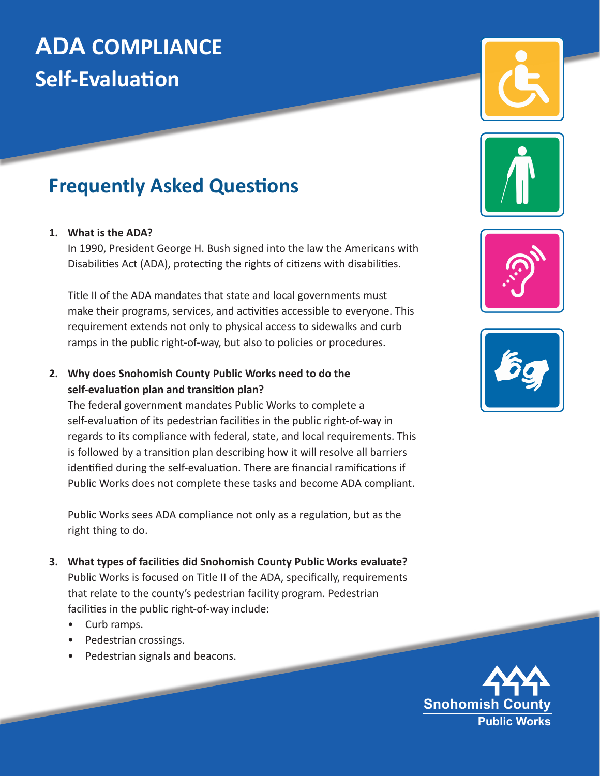# **ADA COMPLIANCE Self-Evaluation**

# **Frequently Asked Questions**

#### **1. What is the ADA?**

In 1990, President George H. Bush signed into the law the Americans with Disabilities Act (ADA), protecting the rights of citizens with disabilities.

Title II of the ADA mandates that state and local governments must make their programs, services, and activities accessible to everyone. This requirement extends not only to physical access to sidewalks and curb ramps in the public right-of-way, but also to policies or procedures.

#### **2. Why does Snohomish County Public Works need to do the self-evaluation plan and transition plan?**

The federal government mandates Public Works to complete a self-evaluation of its pedestrian facilities in the public right-of-way in regards to its compliance with federal, state, and local requirements. This is followed by a transition plan describing how it will resolve all barriers identified during the self-evaluation. There are financial ramifications if Public Works does not complete these tasks and become ADA compliant.

Public Works sees ADA compliance not only as a regulation, but as the right thing to do.

- **3. What types of facilities did Snohomish County Public Works evaluate?**  Public Works is focused on Title II of the ADA, specifically, requirements that relate to the county's pedestrian facility program. Pedestrian facilities in the public right-of-way include:
	- Curb ramps.
	- Pedestrian crossings.
	- Pedestrian signals and beacons.







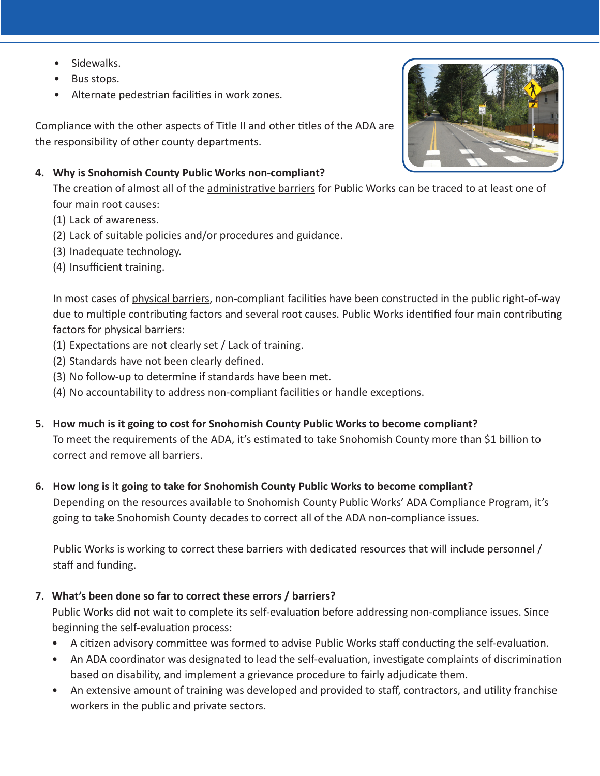- Sidewalks.
- Bus stops.
- Alternate pedestrian facilities in work zones.

Compliance with the other aspects of Title II and other titles of the ADA are the responsibility of other county departments.

#### **4. Why is Snohomish County Public Works non-compliant?**

The creation of almost all of the administrative barriers for Public Works can be traced to at least one of four main root causes:

- (1) Lack of awareness.
- (2) Lack of suitable policies and/or procedures and guidance.
- (3) Inadequate technology.
- (4) Insufficient training.

In most cases of physical barriers, non-compliant facilities have been constructed in the public right-of-way due to multiple contributing factors and several root causes. Public Works identified four main contributing factors for physical barriers:

- (1) Expectations are not clearly set / Lack of training.
- (2) Standards have not been clearly defined.
- (3) No follow-up to determine if standards have been met.
- (4) No accountability to address non-compliant facilities or handle exceptions.
- **5. How much is it going to cost for Snohomish County Public Works to become compliant?**  To meet the requirements of the ADA, it's estimated to take Snohomish County more than \$1 billion to correct and remove all barriers.

#### **6. How long is it going to take for Snohomish County Public Works to become compliant?**

Depending on the resources available to Snohomish County Public Works' ADA Compliance Program, it's going to take Snohomish County decades to correct all of the ADA non-compliance issues.

Public Works is working to correct these barriers with dedicated resources that will include personnel / staff and funding.

## **7. What's been done so far to correct these errors / barriers?**

Public Works did not wait to complete its self-evaluation before addressing non-compliance issues. Since beginning the self-evaluation process:

- A citizen advisory committee was formed to advise Public Works staff conducting the self-evaluation.
- An ADA coordinator was designated to lead the self-evaluation, investigate complaints of discrimination based on disability, and implement a grievance procedure to fairly adjudicate them.
- An extensive amount of training was developed and provided to staff, contractors, and utility franchise workers in the public and private sectors.

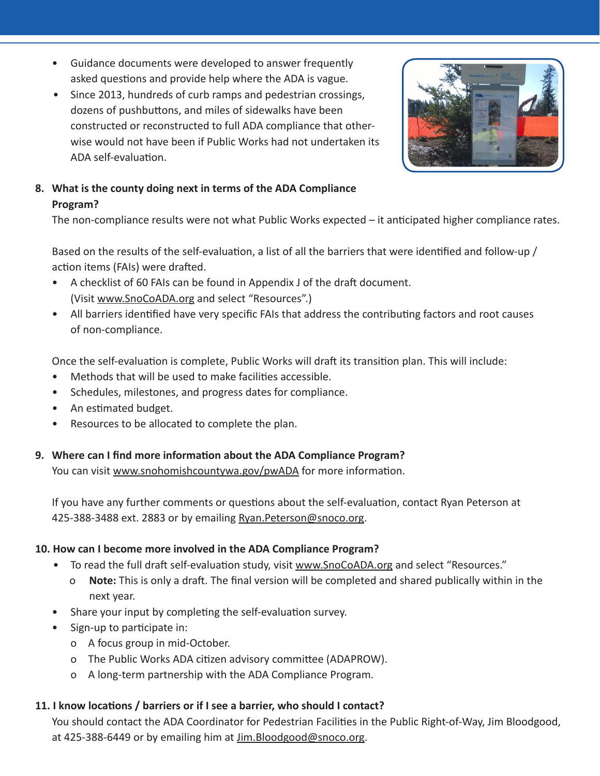- Guidance documents were developed to answer frequently asked questions and provide help where the ADA is vague.
- Since 2013, hundreds of curb ramps and pedestrian crossings, dozens of pushbuttons, and miles of sidewalks have been constructed or reconstructed to full ADA compliance that otherwise would not have been if Public Works had not undertaken its ADA self-evaluation.



# **8. What is the county doing next in terms of the ADA Compliance Program?**

The non-compliance results were not what Public Works expected – it anticipated higher compliance rates.

Based on the results of the self-evaluation, a list of all the barriers that were identified and follow-up / action items (FAIs) were drafted.

- A checklist of 60 FAIs can be found in Appendix J of the draft document. (Visit www.SnoCoADA.org and select "Resources".)
- All barriers identified have very specific FAIs that address the contributing factors and root causes of non-compliance.

Once the self-evaluation is complete, Public Works will draft its transition plan. This will include:

- Methods that will be used to make facilities accessible.
- Schedules, milestones, and progress dates for compliance.
- An estimated budget.
- Resources to be allocated to complete the plan.

#### **9. Where can I find more information about the ADA Compliance Program?**

You can visit www.snohomishcountywa.gov/pwADA for more information.

If you have any further comments or questions about the self-evaluation, contact Ryan Peterson at 425-388-3488 ext. 2883 or by emailing Ryan.Peterson@snoco.org.

#### **10. How can I become more involved in the ADA Compliance Program?**

- To read the full draft self-evaluation study, visit www. SnoCoADA.org and select "Resources."
	- o **Note:** This is only a draft. The final version will be completed and shared publically within in the next year.
- Share your input by completing the self-evaluation survey.
- Sign-up to participate in:
	- o A focus group in mid-October.
	- o The Public Works ADA citizen advisory committee (ADAPROW).
	- o A long-term partnership with the ADA Compliance Program.

## **11. I know locations / barriers or if I see a barrier, who should I contact?**

You should contact the ADA Coordinator for Pedestrian Facilities in the Public Right-of-Way, Jim Bloodgood, at 425-388-6449 or by emailing him at *Jim.Bloodgood@snoco.org.*